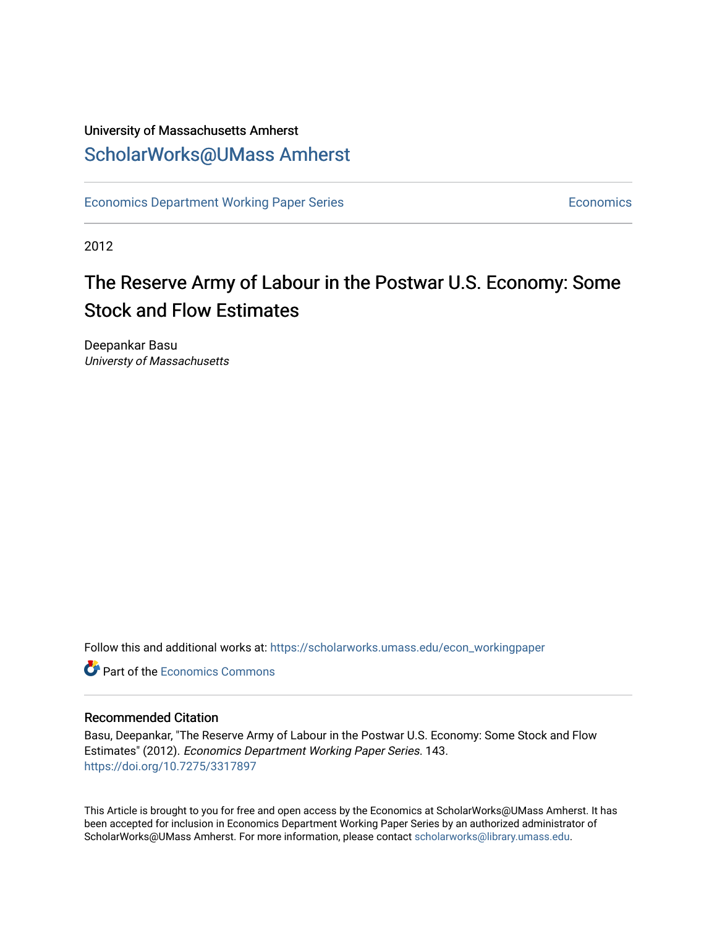## University of Massachusetts Amherst [ScholarWorks@UMass Amherst](https://scholarworks.umass.edu/)

[Economics Department Working Paper Series](https://scholarworks.umass.edu/econ_workingpaper) **Economics** Economics

2012

# The Reserve Army of Labour in the Postwar U.S. Economy: Some Stock and Flow Estimates

Deepankar Basu Universty of Massachusetts

Follow this and additional works at: [https://scholarworks.umass.edu/econ\\_workingpaper](https://scholarworks.umass.edu/econ_workingpaper?utm_source=scholarworks.umass.edu%2Fecon_workingpaper%2F143&utm_medium=PDF&utm_campaign=PDFCoverPages) 

**C** Part of the [Economics Commons](http://network.bepress.com/hgg/discipline/340?utm_source=scholarworks.umass.edu%2Fecon_workingpaper%2F143&utm_medium=PDF&utm_campaign=PDFCoverPages)

#### Recommended Citation

Basu, Deepankar, "The Reserve Army of Labour in the Postwar U.S. Economy: Some Stock and Flow Estimates" (2012). Economics Department Working Paper Series. 143. <https://doi.org/10.7275/3317897>

This Article is brought to you for free and open access by the Economics at ScholarWorks@UMass Amherst. It has been accepted for inclusion in Economics Department Working Paper Series by an authorized administrator of ScholarWorks@UMass Amherst. For more information, please contact [scholarworks@library.umass.edu.](mailto:scholarworks@library.umass.edu)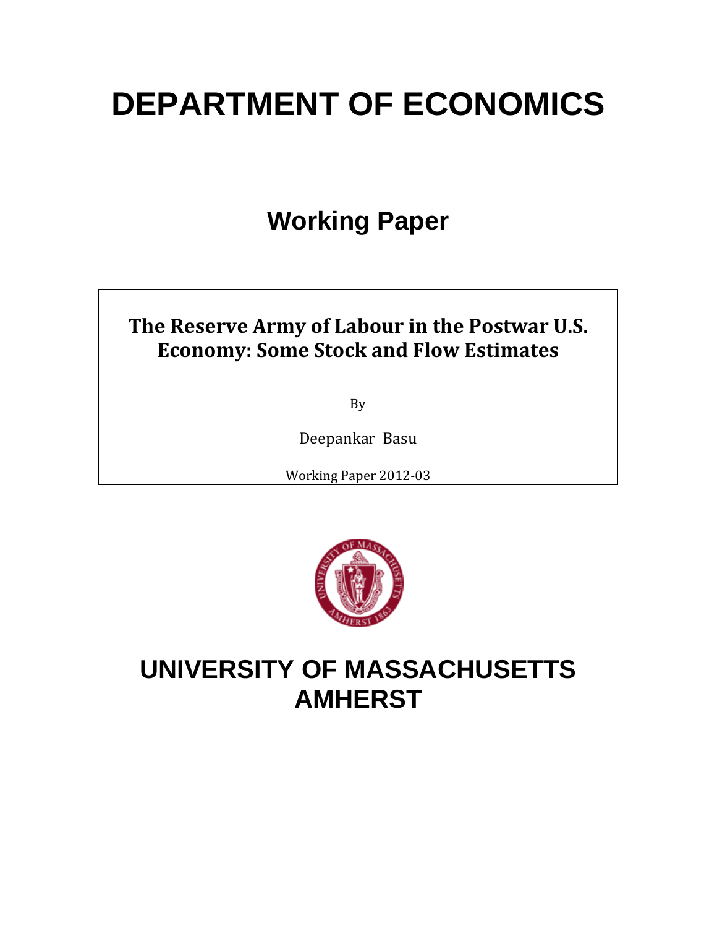# **DEPARTMENT OF ECONOMICS**

# **Working Paper**

# **The Reserve Army of Labour in the Postwar U.S. Economy: Some Stock and Flow Estimates**

By

Deepankar Basu

Working Paper 2012‐03



# **UNIVERSITY OF MASSACHUSETTS AMHERST**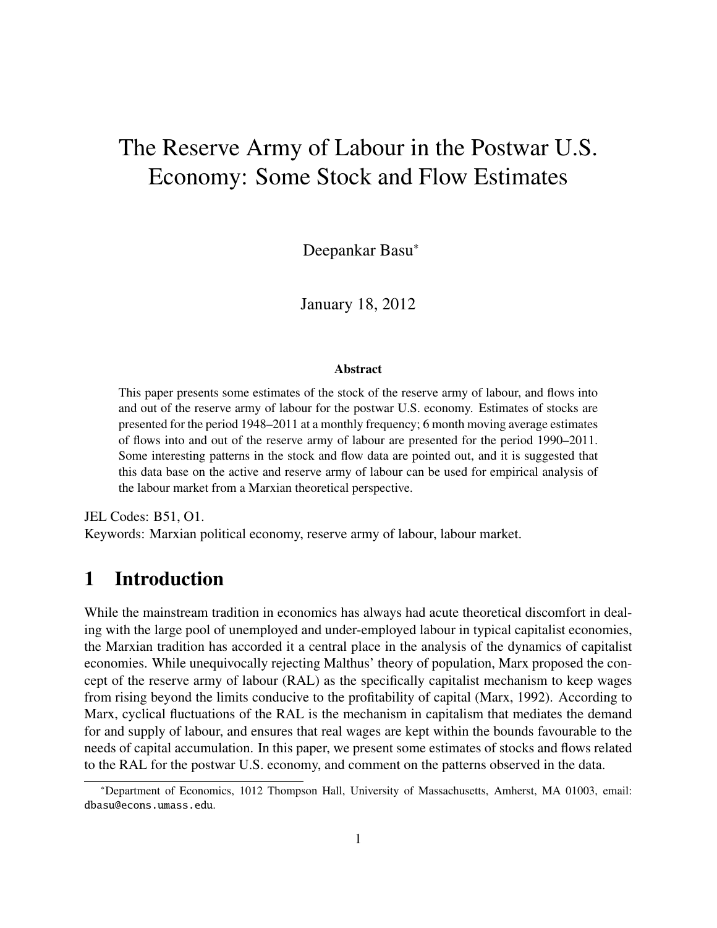# The Reserve Army of Labour in the Postwar U.S. Economy: Some Stock and Flow Estimates

Deepankar Basu<sup>∗</sup>

January 18, 2012

#### Abstract

This paper presents some estimates of the stock of the reserve army of labour, and flows into and out of the reserve army of labour for the postwar U.S. economy. Estimates of stocks are presented for the period 1948–2011 at a monthly frequency; 6 month moving average estimates of flows into and out of the reserve army of labour are presented for the period 1990–2011. Some interesting patterns in the stock and flow data are pointed out, and it is suggested that this data base on the active and reserve army of labour can be used for empirical analysis of the labour market from a Marxian theoretical perspective.

JEL Codes: B51, O1. Keywords: Marxian political economy, reserve army of labour, labour market.

## 1 Introduction

While the mainstream tradition in economics has always had acute theoretical discomfort in dealing with the large pool of unemployed and under-employed labour in typical capitalist economies, the Marxian tradition has accorded it a central place in the analysis of the dynamics of capitalist economies. While unequivocally rejecting Malthus' theory of population, Marx proposed the concept of the reserve army of labour (RAL) as the specifically capitalist mechanism to keep wages from rising beyond the limits conducive to the profitability of capital (Marx, 1992). According to Marx, cyclical fluctuations of the RAL is the mechanism in capitalism that mediates the demand for and supply of labour, and ensures that real wages are kept within the bounds favourable to the needs of capital accumulation. In this paper, we present some estimates of stocks and flows related to the RAL for the postwar U.S. economy, and comment on the patterns observed in the data.

<sup>∗</sup>Department of Economics, 1012 Thompson Hall, University of Massachusetts, Amherst, MA 01003, email: dbasu@econs.umass.edu.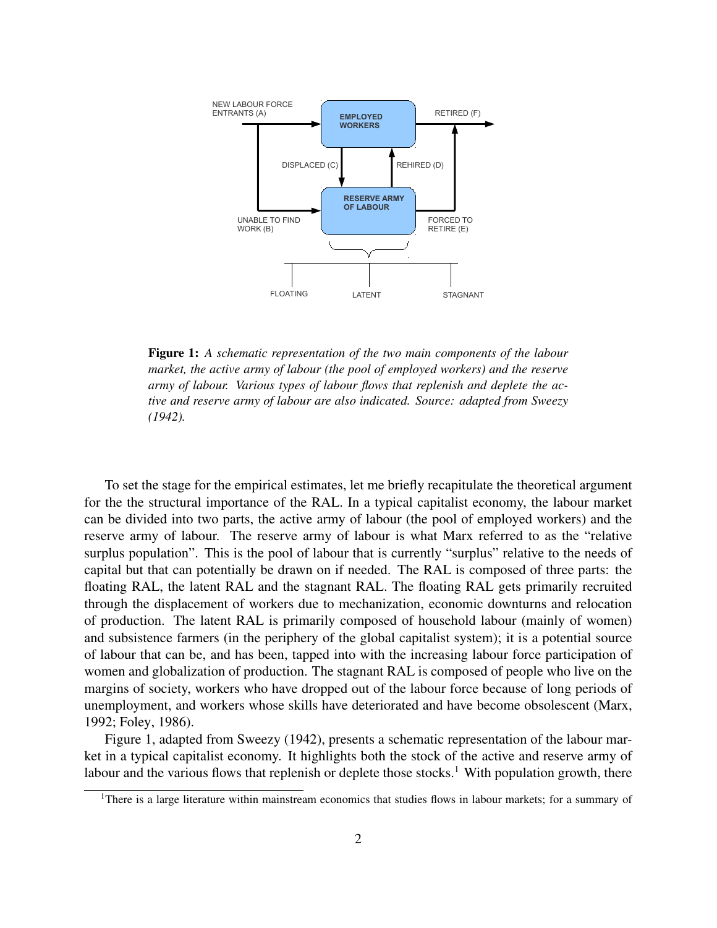

Figure 1: *A schematic representation of the two main components of the labour market, the active army of labour (the pool of employed workers) and the reserve army of labour. Various types of labour flows that replenish and deplete the active and reserve army of labour are also indicated. Source: adapted from Sweezy (1942).*

To set the stage for the empirical estimates, let me briefly recapitulate the theoretical argument for the the structural importance of the RAL. In a typical capitalist economy, the labour market can be divided into two parts, the active army of labour (the pool of employed workers) and the reserve army of labour. The reserve army of labour is what Marx referred to as the "relative surplus population". This is the pool of labour that is currently "surplus" relative to the needs of capital but that can potentially be drawn on if needed. The RAL is composed of three parts: the floating RAL, the latent RAL and the stagnant RAL. The floating RAL gets primarily recruited through the displacement of workers due to mechanization, economic downturns and relocation of production. The latent RAL is primarily composed of household labour (mainly of women) and subsistence farmers (in the periphery of the global capitalist system); it is a potential source of labour that can be, and has been, tapped into with the increasing labour force participation of women and globalization of production. The stagnant RAL is composed of people who live on the margins of society, workers who have dropped out of the labour force because of long periods of unemployment, and workers whose skills have deteriorated and have become obsolescent (Marx, 1992; Foley, 1986).

Figure 1, adapted from Sweezy (1942), presents a schematic representation of the labour market in a typical capitalist economy. It highlights both the stock of the active and reserve army of labour and the various flows that replenish or deplete those stocks.<sup>1</sup> With population growth, there

<sup>&</sup>lt;sup>1</sup>There is a large literature within mainstream economics that studies flows in labour markets; for a summary of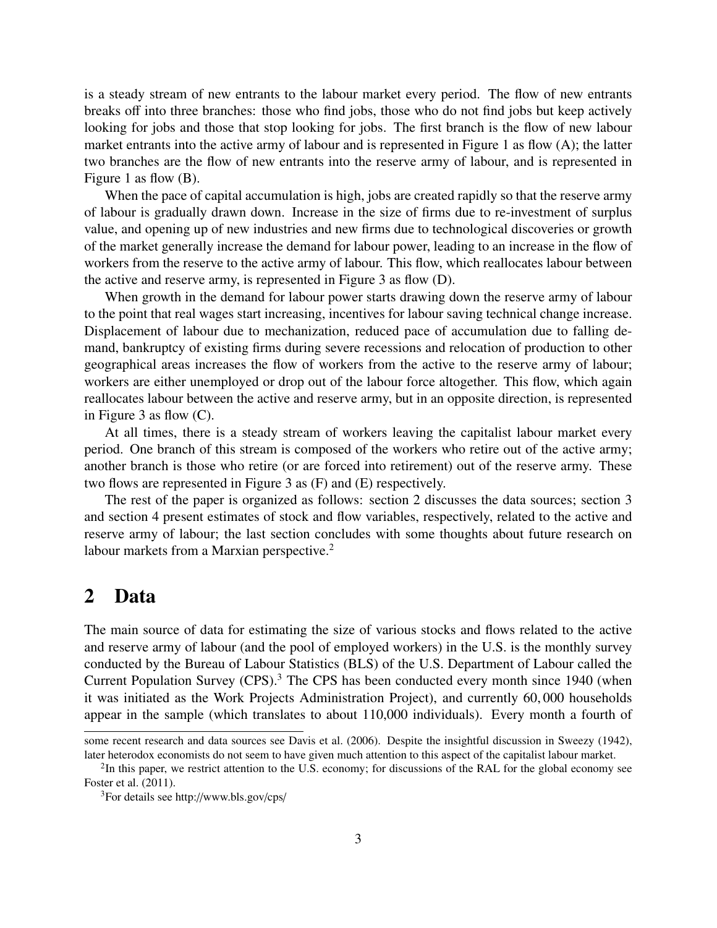is a steady stream of new entrants to the labour market every period. The flow of new entrants breaks off into three branches: those who find jobs, those who do not find jobs but keep actively looking for jobs and those that stop looking for jobs. The first branch is the flow of new labour market entrants into the active army of labour and is represented in Figure 1 as flow (A); the latter two branches are the flow of new entrants into the reserve army of labour, and is represented in Figure 1 as flow (B).

When the pace of capital accumulation is high, jobs are created rapidly so that the reserve army of labour is gradually drawn down. Increase in the size of firms due to re-investment of surplus value, and opening up of new industries and new firms due to technological discoveries or growth of the market generally increase the demand for labour power, leading to an increase in the flow of workers from the reserve to the active army of labour. This flow, which reallocates labour between the active and reserve army, is represented in Figure 3 as flow (D).

When growth in the demand for labour power starts drawing down the reserve army of labour to the point that real wages start increasing, incentives for labour saving technical change increase. Displacement of labour due to mechanization, reduced pace of accumulation due to falling demand, bankruptcy of existing firms during severe recessions and relocation of production to other geographical areas increases the flow of workers from the active to the reserve army of labour; workers are either unemployed or drop out of the labour force altogether. This flow, which again reallocates labour between the active and reserve army, but in an opposite direction, is represented in Figure 3 as flow (C).

At all times, there is a steady stream of workers leaving the capitalist labour market every period. One branch of this stream is composed of the workers who retire out of the active army; another branch is those who retire (or are forced into retirement) out of the reserve army. These two flows are represented in Figure 3 as (F) and (E) respectively.

The rest of the paper is organized as follows: section 2 discusses the data sources; section 3 and section 4 present estimates of stock and flow variables, respectively, related to the active and reserve army of labour; the last section concludes with some thoughts about future research on labour markets from a Marxian perspective.<sup>2</sup>

### 2 Data

The main source of data for estimating the size of various stocks and flows related to the active and reserve army of labour (and the pool of employed workers) in the U.S. is the monthly survey conducted by the Bureau of Labour Statistics (BLS) of the U.S. Department of Labour called the Current Population Survey (CPS).<sup>3</sup> The CPS has been conducted every month since 1940 (when it was initiated as the Work Projects Administration Project), and currently 60, 000 households appear in the sample (which translates to about 110,000 individuals). Every month a fourth of

some recent research and data sources see Davis et al. (2006). Despite the insightful discussion in Sweezy (1942), later heterodox economists do not seem to have given much attention to this aspect of the capitalist labour market.

 $2$ In this paper, we restrict attention to the U.S. economy; for discussions of the RAL for the global economy see Foster et al. (2011).

<sup>3</sup>For details see http://www.bls.gov/cps/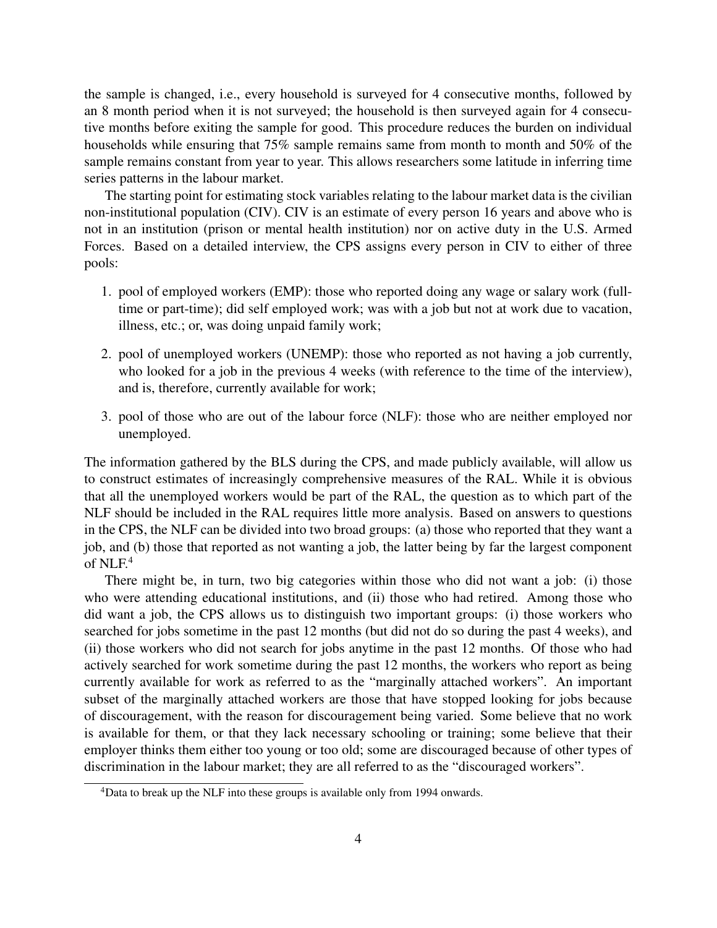the sample is changed, i.e., every household is surveyed for 4 consecutive months, followed by an 8 month period when it is not surveyed; the household is then surveyed again for 4 consecutive months before exiting the sample for good. This procedure reduces the burden on individual households while ensuring that 75% sample remains same from month to month and 50% of the sample remains constant from year to year. This allows researchers some latitude in inferring time series patterns in the labour market.

The starting point for estimating stock variables relating to the labour market data is the civilian non-institutional population (CIV). CIV is an estimate of every person 16 years and above who is not in an institution (prison or mental health institution) nor on active duty in the U.S. Armed Forces. Based on a detailed interview, the CPS assigns every person in CIV to either of three pools:

- 1. pool of employed workers (EMP): those who reported doing any wage or salary work (fulltime or part-time); did self employed work; was with a job but not at work due to vacation, illness, etc.; or, was doing unpaid family work;
- 2. pool of unemployed workers (UNEMP): those who reported as not having a job currently, who looked for a job in the previous 4 weeks (with reference to the time of the interview), and is, therefore, currently available for work;
- 3. pool of those who are out of the labour force (NLF): those who are neither employed nor unemployed.

The information gathered by the BLS during the CPS, and made publicly available, will allow us to construct estimates of increasingly comprehensive measures of the RAL. While it is obvious that all the unemployed workers would be part of the RAL, the question as to which part of the NLF should be included in the RAL requires little more analysis. Based on answers to questions in the CPS, the NLF can be divided into two broad groups: (a) those who reported that they want a job, and (b) those that reported as not wanting a job, the latter being by far the largest component of NLF.<sup>4</sup>

There might be, in turn, two big categories within those who did not want a job: (i) those who were attending educational institutions, and (ii) those who had retired. Among those who did want a job, the CPS allows us to distinguish two important groups: (i) those workers who searched for jobs sometime in the past 12 months (but did not do so during the past 4 weeks), and (ii) those workers who did not search for jobs anytime in the past 12 months. Of those who had actively searched for work sometime during the past 12 months, the workers who report as being currently available for work as referred to as the "marginally attached workers". An important subset of the marginally attached workers are those that have stopped looking for jobs because of discouragement, with the reason for discouragement being varied. Some believe that no work is available for them, or that they lack necessary schooling or training; some believe that their employer thinks them either too young or too old; some are discouraged because of other types of discrimination in the labour market; they are all referred to as the "discouraged workers".

<sup>&</sup>lt;sup>4</sup>Data to break up the NLF into these groups is available only from 1994 onwards.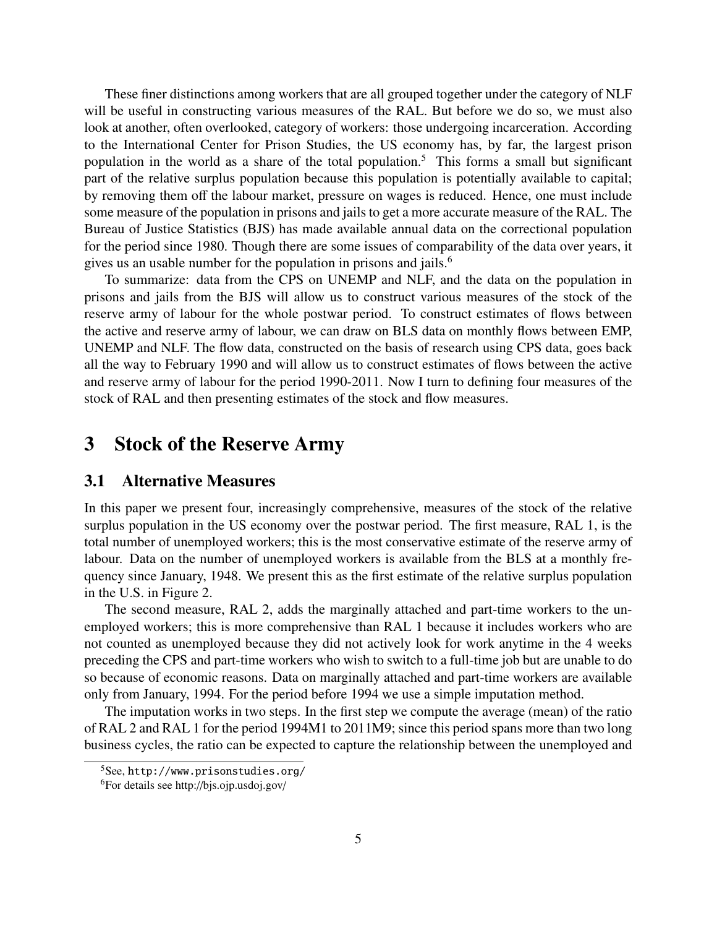These finer distinctions among workers that are all grouped together under the category of NLF will be useful in constructing various measures of the RAL. But before we do so, we must also look at another, often overlooked, category of workers: those undergoing incarceration. According to the International Center for Prison Studies, the US economy has, by far, the largest prison population in the world as a share of the total population.<sup>5</sup> This forms a small but significant part of the relative surplus population because this population is potentially available to capital; by removing them off the labour market, pressure on wages is reduced. Hence, one must include some measure of the population in prisons and jails to get a more accurate measure of the RAL. The Bureau of Justice Statistics (BJS) has made available annual data on the correctional population for the period since 1980. Though there are some issues of comparability of the data over years, it gives us an usable number for the population in prisons and jails.<sup>6</sup>

To summarize: data from the CPS on UNEMP and NLF, and the data on the population in prisons and jails from the BJS will allow us to construct various measures of the stock of the reserve army of labour for the whole postwar period. To construct estimates of flows between the active and reserve army of labour, we can draw on BLS data on monthly flows between EMP, UNEMP and NLF. The flow data, constructed on the basis of research using CPS data, goes back all the way to February 1990 and will allow us to construct estimates of flows between the active and reserve army of labour for the period 1990-2011. Now I turn to defining four measures of the stock of RAL and then presenting estimates of the stock and flow measures.

### 3 Stock of the Reserve Army

#### 3.1 Alternative Measures

In this paper we present four, increasingly comprehensive, measures of the stock of the relative surplus population in the US economy over the postwar period. The first measure, RAL 1, is the total number of unemployed workers; this is the most conservative estimate of the reserve army of labour. Data on the number of unemployed workers is available from the BLS at a monthly frequency since January, 1948. We present this as the first estimate of the relative surplus population in the U.S. in Figure 2.

The second measure, RAL 2, adds the marginally attached and part-time workers to the unemployed workers; this is more comprehensive than RAL 1 because it includes workers who are not counted as unemployed because they did not actively look for work anytime in the 4 weeks preceding the CPS and part-time workers who wish to switch to a full-time job but are unable to do so because of economic reasons. Data on marginally attached and part-time workers are available only from January, 1994. For the period before 1994 we use a simple imputation method.

The imputation works in two steps. In the first step we compute the average (mean) of the ratio of RAL 2 and RAL 1 for the period 1994M1 to 2011M9; since this period spans more than two long business cycles, the ratio can be expected to capture the relationship between the unemployed and

<sup>5</sup>See, http://www.prisonstudies.org/

<sup>6</sup>For details see http://bjs.ojp.usdoj.gov/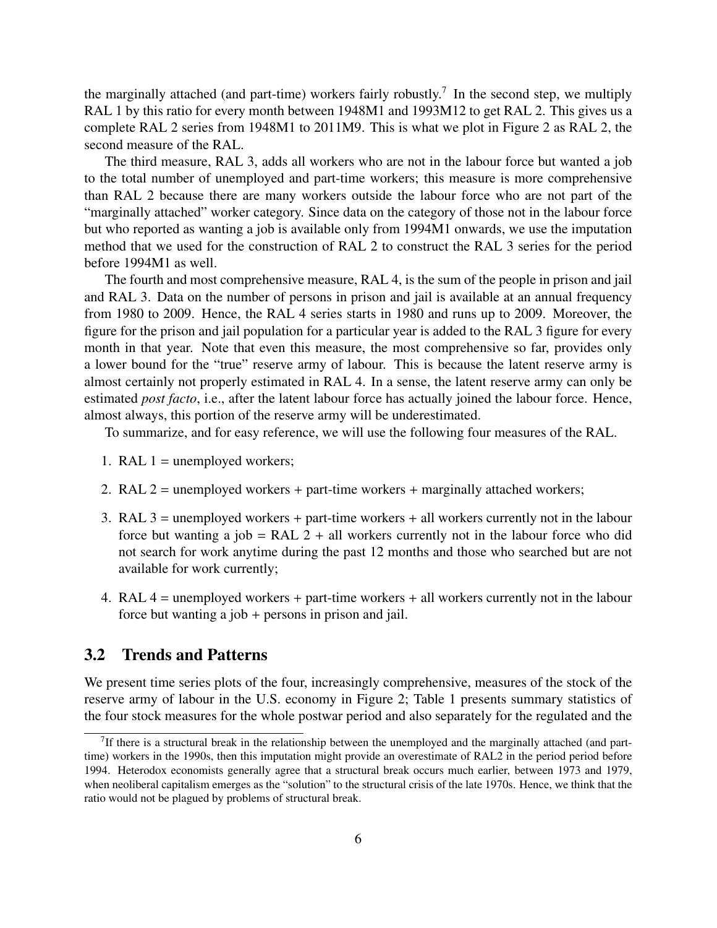the marginally attached (and part-time) workers fairly robustly.<sup>7</sup> In the second step, we multiply RAL 1 by this ratio for every month between 1948M1 and 1993M12 to get RAL 2. This gives us a complete RAL 2 series from 1948M1 to 2011M9. This is what we plot in Figure 2 as RAL 2, the second measure of the RAL.

The third measure, RAL 3, adds all workers who are not in the labour force but wanted a job to the total number of unemployed and part-time workers; this measure is more comprehensive than RAL 2 because there are many workers outside the labour force who are not part of the "marginally attached" worker category. Since data on the category of those not in the labour force but who reported as wanting a job is available only from 1994M1 onwards, we use the imputation method that we used for the construction of RAL 2 to construct the RAL 3 series for the period before 1994M1 as well.

The fourth and most comprehensive measure, RAL 4, is the sum of the people in prison and jail and RAL 3. Data on the number of persons in prison and jail is available at an annual frequency from 1980 to 2009. Hence, the RAL 4 series starts in 1980 and runs up to 2009. Moreover, the figure for the prison and jail population for a particular year is added to the RAL 3 figure for every month in that year. Note that even this measure, the most comprehensive so far, provides only a lower bound for the "true" reserve army of labour. This is because the latent reserve army is almost certainly not properly estimated in RAL 4. In a sense, the latent reserve army can only be estimated *post facto*, i.e., after the latent labour force has actually joined the labour force. Hence, almost always, this portion of the reserve army will be underestimated.

To summarize, and for easy reference, we will use the following four measures of the RAL.

- 1. RAL  $1 =$  unemployed workers;
- 2. RAL  $2 =$  unemployed workers + part-time workers + marginally attached workers;
- 3. RAL 3 = unemployed workers + part-time workers + all workers currently not in the labour force but wanting a job = RAL  $2 +$  all workers currently not in the labour force who did not search for work anytime during the past 12 months and those who searched but are not available for work currently;
- 4. RAL 4 = unemployed workers + part-time workers + all workers currently not in the labour force but wanting a job + persons in prison and jail.

#### 3.2 Trends and Patterns

We present time series plots of the four, increasingly comprehensive, measures of the stock of the reserve army of labour in the U.S. economy in Figure 2; Table 1 presents summary statistics of the four stock measures for the whole postwar period and also separately for the regulated and the

 $7$ If there is a structural break in the relationship between the unemployed and the marginally attached (and parttime) workers in the 1990s, then this imputation might provide an overestimate of RAL2 in the period period before 1994. Heterodox economists generally agree that a structural break occurs much earlier, between 1973 and 1979, when neoliberal capitalism emerges as the "solution" to the structural crisis of the late 1970s. Hence, we think that the ratio would not be plagued by problems of structural break.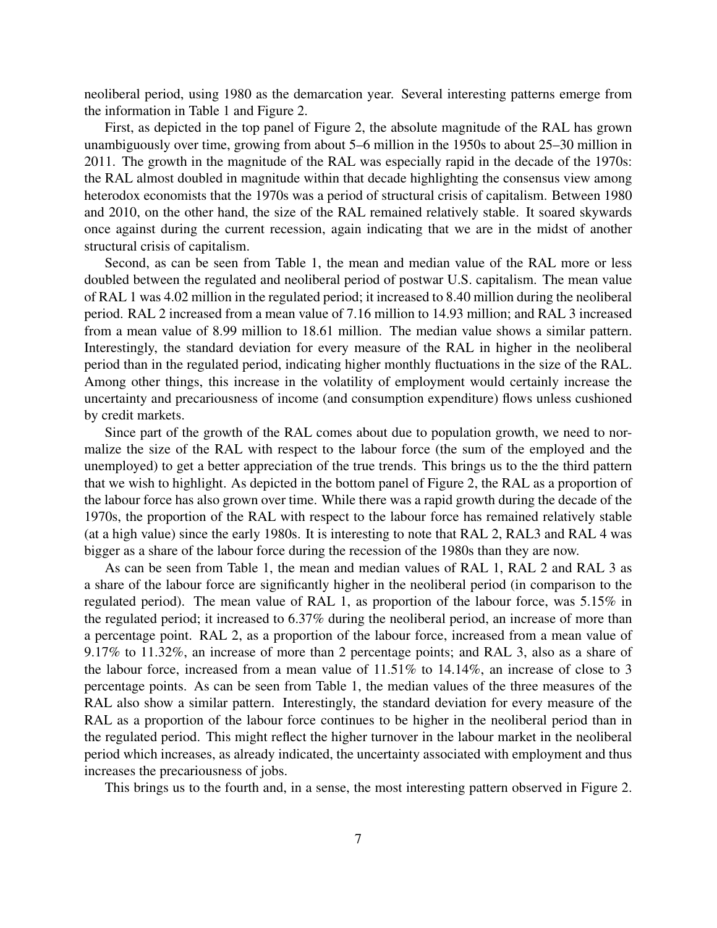neoliberal period, using 1980 as the demarcation year. Several interesting patterns emerge from the information in Table 1 and Figure 2.

First, as depicted in the top panel of Figure 2, the absolute magnitude of the RAL has grown unambiguously over time, growing from about 5–6 million in the 1950s to about 25–30 million in 2011. The growth in the magnitude of the RAL was especially rapid in the decade of the 1970s: the RAL almost doubled in magnitude within that decade highlighting the consensus view among heterodox economists that the 1970s was a period of structural crisis of capitalism. Between 1980 and 2010, on the other hand, the size of the RAL remained relatively stable. It soared skywards once against during the current recession, again indicating that we are in the midst of another structural crisis of capitalism.

Second, as can be seen from Table 1, the mean and median value of the RAL more or less doubled between the regulated and neoliberal period of postwar U.S. capitalism. The mean value of RAL 1 was 4.02 million in the regulated period; it increased to 8.40 million during the neoliberal period. RAL 2 increased from a mean value of 7.16 million to 14.93 million; and RAL 3 increased from a mean value of 8.99 million to 18.61 million. The median value shows a similar pattern. Interestingly, the standard deviation for every measure of the RAL in higher in the neoliberal period than in the regulated period, indicating higher monthly fluctuations in the size of the RAL. Among other things, this increase in the volatility of employment would certainly increase the uncertainty and precariousness of income (and consumption expenditure) flows unless cushioned by credit markets.

Since part of the growth of the RAL comes about due to population growth, we need to normalize the size of the RAL with respect to the labour force (the sum of the employed and the unemployed) to get a better appreciation of the true trends. This brings us to the the third pattern that we wish to highlight. As depicted in the bottom panel of Figure 2, the RAL as a proportion of the labour force has also grown over time. While there was a rapid growth during the decade of the 1970s, the proportion of the RAL with respect to the labour force has remained relatively stable (at a high value) since the early 1980s. It is interesting to note that RAL 2, RAL3 and RAL 4 was bigger as a share of the labour force during the recession of the 1980s than they are now.

As can be seen from Table 1, the mean and median values of RAL 1, RAL 2 and RAL 3 as a share of the labour force are significantly higher in the neoliberal period (in comparison to the regulated period). The mean value of RAL 1, as proportion of the labour force, was 5.15% in the regulated period; it increased to 6.37% during the neoliberal period, an increase of more than a percentage point. RAL 2, as a proportion of the labour force, increased from a mean value of 9.17% to 11.32%, an increase of more than 2 percentage points; and RAL 3, also as a share of the labour force, increased from a mean value of 11.51% to 14.14%, an increase of close to 3 percentage points. As can be seen from Table 1, the median values of the three measures of the RAL also show a similar pattern. Interestingly, the standard deviation for every measure of the RAL as a proportion of the labour force continues to be higher in the neoliberal period than in the regulated period. This might reflect the higher turnover in the labour market in the neoliberal period which increases, as already indicated, the uncertainty associated with employment and thus increases the precariousness of jobs.

This brings us to the fourth and, in a sense, the most interesting pattern observed in Figure 2.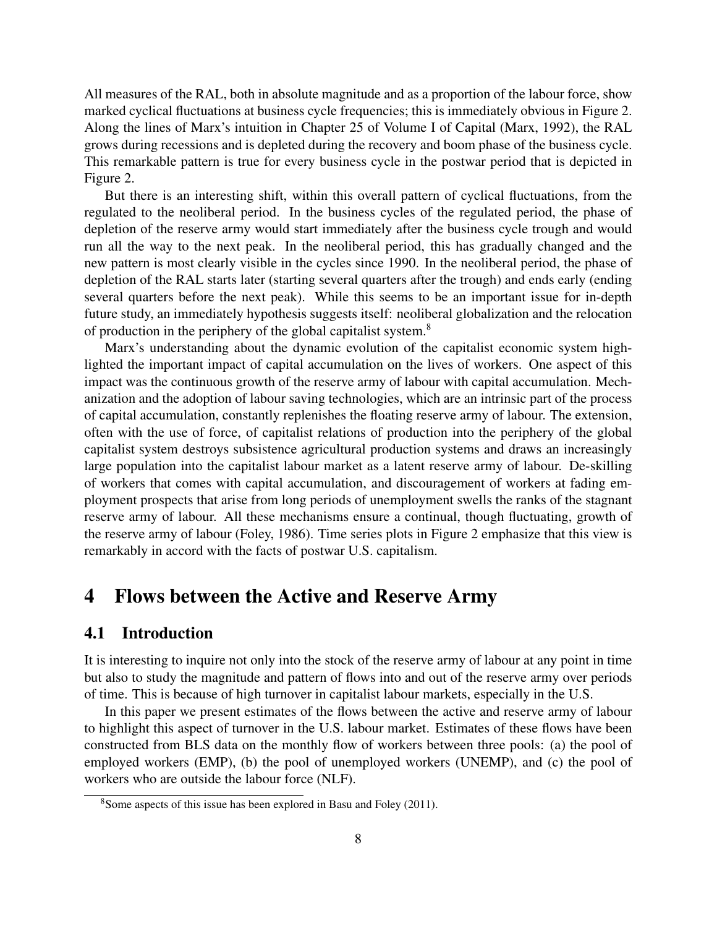All measures of the RAL, both in absolute magnitude and as a proportion of the labour force, show marked cyclical fluctuations at business cycle frequencies; this is immediately obvious in Figure 2. Along the lines of Marx's intuition in Chapter 25 of Volume I of Capital (Marx, 1992), the RAL grows during recessions and is depleted during the recovery and boom phase of the business cycle. This remarkable pattern is true for every business cycle in the postwar period that is depicted in Figure 2.

But there is an interesting shift, within this overall pattern of cyclical fluctuations, from the regulated to the neoliberal period. In the business cycles of the regulated period, the phase of depletion of the reserve army would start immediately after the business cycle trough and would run all the way to the next peak. In the neoliberal period, this has gradually changed and the new pattern is most clearly visible in the cycles since 1990. In the neoliberal period, the phase of depletion of the RAL starts later (starting several quarters after the trough) and ends early (ending several quarters before the next peak). While this seems to be an important issue for in-depth future study, an immediately hypothesis suggests itself: neoliberal globalization and the relocation of production in the periphery of the global capitalist system.<sup>8</sup>

Marx's understanding about the dynamic evolution of the capitalist economic system highlighted the important impact of capital accumulation on the lives of workers. One aspect of this impact was the continuous growth of the reserve army of labour with capital accumulation. Mechanization and the adoption of labour saving technologies, which are an intrinsic part of the process of capital accumulation, constantly replenishes the floating reserve army of labour. The extension, often with the use of force, of capitalist relations of production into the periphery of the global capitalist system destroys subsistence agricultural production systems and draws an increasingly large population into the capitalist labour market as a latent reserve army of labour. De-skilling of workers that comes with capital accumulation, and discouragement of workers at fading employment prospects that arise from long periods of unemployment swells the ranks of the stagnant reserve army of labour. All these mechanisms ensure a continual, though fluctuating, growth of the reserve army of labour (Foley, 1986). Time series plots in Figure 2 emphasize that this view is remarkably in accord with the facts of postwar U.S. capitalism.

## 4 Flows between the Active and Reserve Army

#### 4.1 Introduction

It is interesting to inquire not only into the stock of the reserve army of labour at any point in time but also to study the magnitude and pattern of flows into and out of the reserve army over periods of time. This is because of high turnover in capitalist labour markets, especially in the U.S.

In this paper we present estimates of the flows between the active and reserve army of labour to highlight this aspect of turnover in the U.S. labour market. Estimates of these flows have been constructed from BLS data on the monthly flow of workers between three pools: (a) the pool of employed workers (EMP), (b) the pool of unemployed workers (UNEMP), and (c) the pool of workers who are outside the labour force (NLF).

<sup>8</sup>Some aspects of this issue has been explored in Basu and Foley (2011).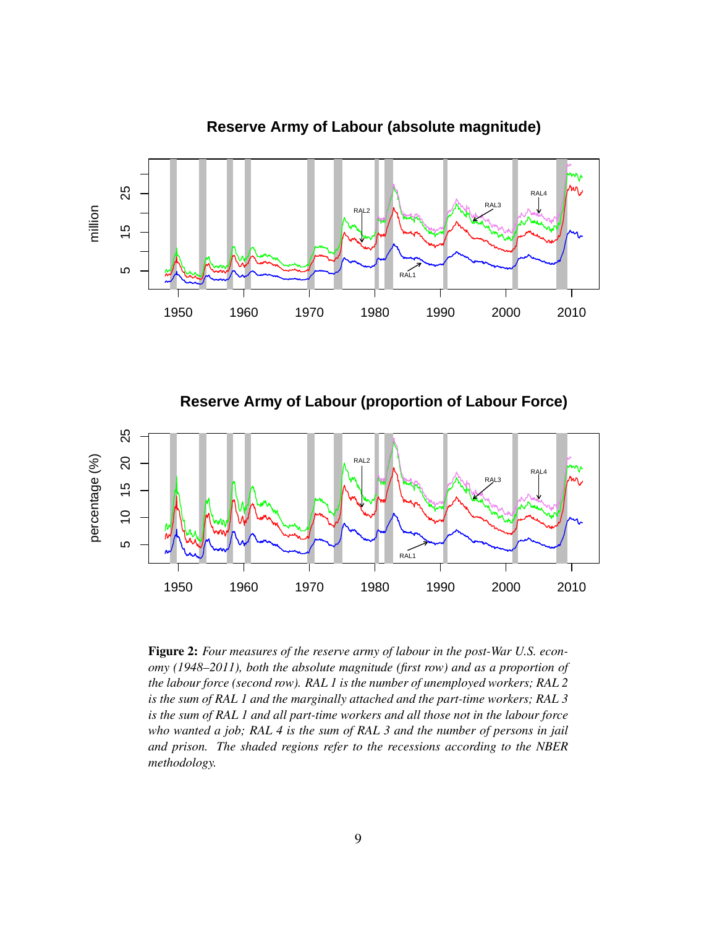

**Reserve Army of Labour (absolute magnitude)**

**Reserve Army of Labour (proportion of Labour Force)**



Figure 2: *Four measures of the reserve army of labour in the post-War U.S. economy (1948–2011), both the absolute magnitude (first row) and as a proportion of the labour force (second row). RAL 1 is the number of unemployed workers; RAL 2 is the sum of RAL 1 and the marginally attached and the part-time workers; RAL 3 is the sum of RAL 1 and all part-time workers and all those not in the labour force who wanted a job; RAL 4 is the sum of RAL 3 and the number of persons in jail and prison. The shaded regions refer to the recessions according to the NBER methodology.*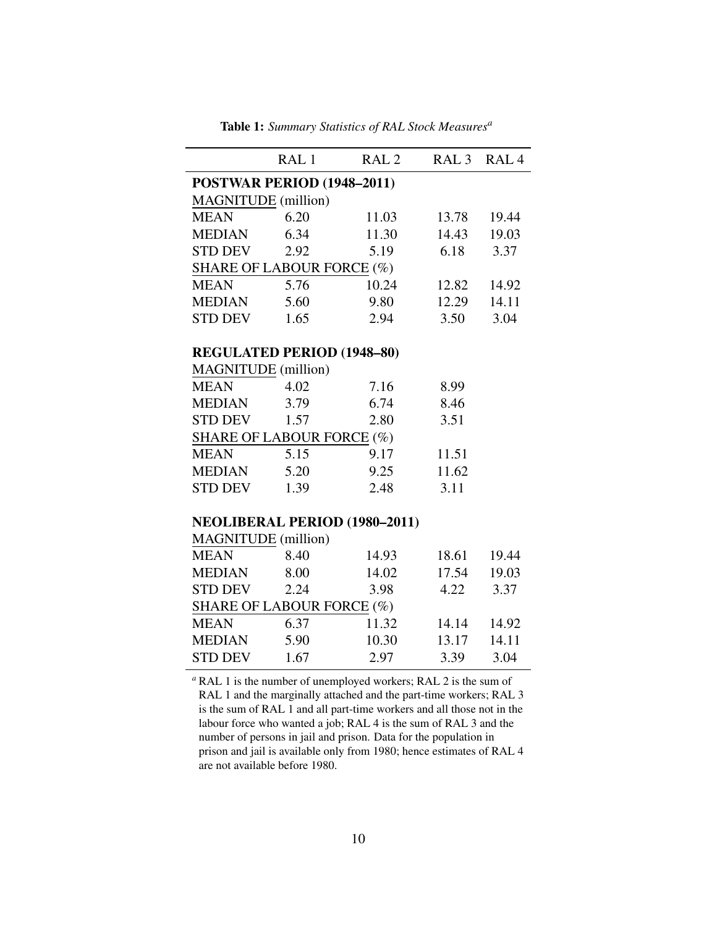| POSTWAR PERIOD (1948-2011)<br><b>MAGNITUDE</b> (million)<br>6.20<br><b>MEAN</b><br>11.03<br>13.78<br>19.44<br><b>MEDIAN</b><br>6.34<br>11.30<br>14.43<br>19.03<br><b>STD DEV</b><br>2.92<br>5.19<br>6.18<br>3.37<br><b>SHARE OF LABOUR FORCE (%)</b><br>5.76<br>10.24<br><b>MEAN</b><br>12.82<br>14.92<br>5.60<br>9.80<br>12.29<br>MEDIAN<br>14.11<br><b>STD DEV</b><br>2.94<br>3.50<br>1.65<br>3.04<br><b>REGULATED PERIOD (1948-80)</b><br><b>MAGNITUDE</b> (million)<br>4.02<br><b>MEAN</b><br>7.16<br>8.99<br><b>MEDIAN</b><br>3.79<br>6.74<br>8.46<br>STD DEV<br>1.57<br>2.80<br>3.51<br>SHARE OF LABOUR FORCE (%)<br>5.15<br><b>MEAN</b><br>9.17<br>11.51<br>5.20<br>9.25<br>11.62<br><b>MEDIAN</b><br><b>STD DEV</b><br>1.39<br>3.11<br>2.48<br><b>NEOLIBERAL PERIOD (1980-2011)</b><br><b>MAGNITUDE</b> (million)<br>8.40<br><b>MEAN</b><br>14.93<br>18.61<br>19.44<br><b>MEDIAN</b><br>8.00<br>19.03<br>14.02<br>17.54<br>STD DEV<br>3.37<br>2.24<br>3.98<br>4.22<br>SHARE OF LABOUR FORCE (%)<br>6.37<br>11.32<br>14.92<br><b>MEAN</b><br>14.14<br>5.90<br>10.30<br>14.11<br><b>MEDIAN</b><br>13.17<br><b>STD DEV</b><br>1.67<br>2.97<br>3.39<br>3.04 |  | RAL <sub>1</sub> | RAL <sub>2</sub> | RAL 3 RAL 4 |  |  |
|-----------------------------------------------------------------------------------------------------------------------------------------------------------------------------------------------------------------------------------------------------------------------------------------------------------------------------------------------------------------------------------------------------------------------------------------------------------------------------------------------------------------------------------------------------------------------------------------------------------------------------------------------------------------------------------------------------------------------------------------------------------------------------------------------------------------------------------------------------------------------------------------------------------------------------------------------------------------------------------------------------------------------------------------------------------------------------------------------------------------------------------------------------------------|--|------------------|------------------|-------------|--|--|
|                                                                                                                                                                                                                                                                                                                                                                                                                                                                                                                                                                                                                                                                                                                                                                                                                                                                                                                                                                                                                                                                                                                                                                 |  |                  |                  |             |  |  |
|                                                                                                                                                                                                                                                                                                                                                                                                                                                                                                                                                                                                                                                                                                                                                                                                                                                                                                                                                                                                                                                                                                                                                                 |  |                  |                  |             |  |  |
|                                                                                                                                                                                                                                                                                                                                                                                                                                                                                                                                                                                                                                                                                                                                                                                                                                                                                                                                                                                                                                                                                                                                                                 |  |                  |                  |             |  |  |
|                                                                                                                                                                                                                                                                                                                                                                                                                                                                                                                                                                                                                                                                                                                                                                                                                                                                                                                                                                                                                                                                                                                                                                 |  |                  |                  |             |  |  |
|                                                                                                                                                                                                                                                                                                                                                                                                                                                                                                                                                                                                                                                                                                                                                                                                                                                                                                                                                                                                                                                                                                                                                                 |  |                  |                  |             |  |  |
|                                                                                                                                                                                                                                                                                                                                                                                                                                                                                                                                                                                                                                                                                                                                                                                                                                                                                                                                                                                                                                                                                                                                                                 |  |                  |                  |             |  |  |
|                                                                                                                                                                                                                                                                                                                                                                                                                                                                                                                                                                                                                                                                                                                                                                                                                                                                                                                                                                                                                                                                                                                                                                 |  |                  |                  |             |  |  |
|                                                                                                                                                                                                                                                                                                                                                                                                                                                                                                                                                                                                                                                                                                                                                                                                                                                                                                                                                                                                                                                                                                                                                                 |  |                  |                  |             |  |  |
|                                                                                                                                                                                                                                                                                                                                                                                                                                                                                                                                                                                                                                                                                                                                                                                                                                                                                                                                                                                                                                                                                                                                                                 |  |                  |                  |             |  |  |
|                                                                                                                                                                                                                                                                                                                                                                                                                                                                                                                                                                                                                                                                                                                                                                                                                                                                                                                                                                                                                                                                                                                                                                 |  |                  |                  |             |  |  |
|                                                                                                                                                                                                                                                                                                                                                                                                                                                                                                                                                                                                                                                                                                                                                                                                                                                                                                                                                                                                                                                                                                                                                                 |  |                  |                  |             |  |  |
|                                                                                                                                                                                                                                                                                                                                                                                                                                                                                                                                                                                                                                                                                                                                                                                                                                                                                                                                                                                                                                                                                                                                                                 |  |                  |                  |             |  |  |
|                                                                                                                                                                                                                                                                                                                                                                                                                                                                                                                                                                                                                                                                                                                                                                                                                                                                                                                                                                                                                                                                                                                                                                 |  |                  |                  |             |  |  |
|                                                                                                                                                                                                                                                                                                                                                                                                                                                                                                                                                                                                                                                                                                                                                                                                                                                                                                                                                                                                                                                                                                                                                                 |  |                  |                  |             |  |  |
|                                                                                                                                                                                                                                                                                                                                                                                                                                                                                                                                                                                                                                                                                                                                                                                                                                                                                                                                                                                                                                                                                                                                                                 |  |                  |                  |             |  |  |
|                                                                                                                                                                                                                                                                                                                                                                                                                                                                                                                                                                                                                                                                                                                                                                                                                                                                                                                                                                                                                                                                                                                                                                 |  |                  |                  |             |  |  |
|                                                                                                                                                                                                                                                                                                                                                                                                                                                                                                                                                                                                                                                                                                                                                                                                                                                                                                                                                                                                                                                                                                                                                                 |  |                  |                  |             |  |  |
|                                                                                                                                                                                                                                                                                                                                                                                                                                                                                                                                                                                                                                                                                                                                                                                                                                                                                                                                                                                                                                                                                                                                                                 |  |                  |                  |             |  |  |
|                                                                                                                                                                                                                                                                                                                                                                                                                                                                                                                                                                                                                                                                                                                                                                                                                                                                                                                                                                                                                                                                                                                                                                 |  |                  |                  |             |  |  |
|                                                                                                                                                                                                                                                                                                                                                                                                                                                                                                                                                                                                                                                                                                                                                                                                                                                                                                                                                                                                                                                                                                                                                                 |  |                  |                  |             |  |  |
|                                                                                                                                                                                                                                                                                                                                                                                                                                                                                                                                                                                                                                                                                                                                                                                                                                                                                                                                                                                                                                                                                                                                                                 |  |                  |                  |             |  |  |
|                                                                                                                                                                                                                                                                                                                                                                                                                                                                                                                                                                                                                                                                                                                                                                                                                                                                                                                                                                                                                                                                                                                                                                 |  |                  |                  |             |  |  |
|                                                                                                                                                                                                                                                                                                                                                                                                                                                                                                                                                                                                                                                                                                                                                                                                                                                                                                                                                                                                                                                                                                                                                                 |  |                  |                  |             |  |  |
|                                                                                                                                                                                                                                                                                                                                                                                                                                                                                                                                                                                                                                                                                                                                                                                                                                                                                                                                                                                                                                                                                                                                                                 |  |                  |                  |             |  |  |
|                                                                                                                                                                                                                                                                                                                                                                                                                                                                                                                                                                                                                                                                                                                                                                                                                                                                                                                                                                                                                                                                                                                                                                 |  |                  |                  |             |  |  |
|                                                                                                                                                                                                                                                                                                                                                                                                                                                                                                                                                                                                                                                                                                                                                                                                                                                                                                                                                                                                                                                                                                                                                                 |  |                  |                  |             |  |  |
|                                                                                                                                                                                                                                                                                                                                                                                                                                                                                                                                                                                                                                                                                                                                                                                                                                                                                                                                                                                                                                                                                                                                                                 |  |                  |                  |             |  |  |
|                                                                                                                                                                                                                                                                                                                                                                                                                                                                                                                                                                                                                                                                                                                                                                                                                                                                                                                                                                                                                                                                                                                                                                 |  |                  |                  |             |  |  |
|                                                                                                                                                                                                                                                                                                                                                                                                                                                                                                                                                                                                                                                                                                                                                                                                                                                                                                                                                                                                                                                                                                                                                                 |  |                  |                  |             |  |  |

Table 1: *Summary Statistics of RAL Stock Measures<sup>a</sup>*

*<sup>a</sup>* RAL 1 is the number of unemployed workers; RAL 2 is the sum of RAL 1 and the marginally attached and the part-time workers; RAL 3 is the sum of RAL 1 and all part-time workers and all those not in the labour force who wanted a job; RAL 4 is the sum of RAL 3 and the number of persons in jail and prison. Data for the population in prison and jail is available only from 1980; hence estimates of RAL 4 are not available before 1980.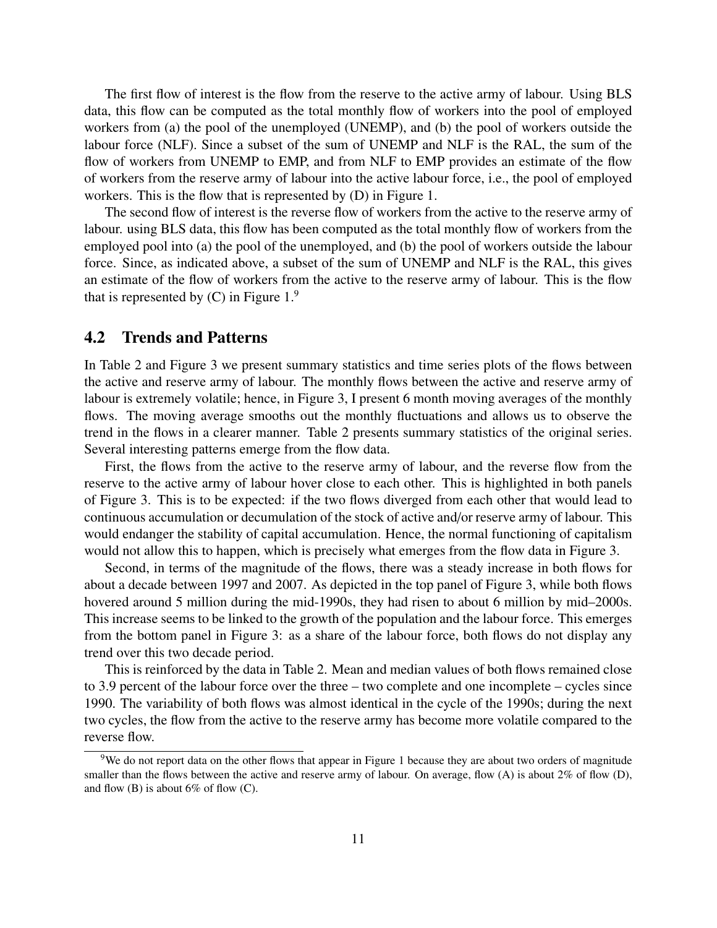The first flow of interest is the flow from the reserve to the active army of labour. Using BLS data, this flow can be computed as the total monthly flow of workers into the pool of employed workers from (a) the pool of the unemployed (UNEMP), and (b) the pool of workers outside the labour force (NLF). Since a subset of the sum of UNEMP and NLF is the RAL, the sum of the flow of workers from UNEMP to EMP, and from NLF to EMP provides an estimate of the flow of workers from the reserve army of labour into the active labour force, i.e., the pool of employed workers. This is the flow that is represented by (D) in Figure 1.

The second flow of interest is the reverse flow of workers from the active to the reserve army of labour. using BLS data, this flow has been computed as the total monthly flow of workers from the employed pool into (a) the pool of the unemployed, and (b) the pool of workers outside the labour force. Since, as indicated above, a subset of the sum of UNEMP and NLF is the RAL, this gives an estimate of the flow of workers from the active to the reserve army of labour. This is the flow that is represented by  $(C)$  in Figure 1.<sup>9</sup>

#### 4.2 Trends and Patterns

In Table 2 and Figure 3 we present summary statistics and time series plots of the flows between the active and reserve army of labour. The monthly flows between the active and reserve army of labour is extremely volatile; hence, in Figure 3, I present 6 month moving averages of the monthly flows. The moving average smooths out the monthly fluctuations and allows us to observe the trend in the flows in a clearer manner. Table 2 presents summary statistics of the original series. Several interesting patterns emerge from the flow data.

First, the flows from the active to the reserve army of labour, and the reverse flow from the reserve to the active army of labour hover close to each other. This is highlighted in both panels of Figure 3. This is to be expected: if the two flows diverged from each other that would lead to continuous accumulation or decumulation of the stock of active and/or reserve army of labour. This would endanger the stability of capital accumulation. Hence, the normal functioning of capitalism would not allow this to happen, which is precisely what emerges from the flow data in Figure 3.

Second, in terms of the magnitude of the flows, there was a steady increase in both flows for about a decade between 1997 and 2007. As depicted in the top panel of Figure 3, while both flows hovered around 5 million during the mid-1990s, they had risen to about 6 million by mid–2000s. This increase seems to be linked to the growth of the population and the labour force. This emerges from the bottom panel in Figure 3: as a share of the labour force, both flows do not display any trend over this two decade period.

This is reinforced by the data in Table 2. Mean and median values of both flows remained close to 3.9 percent of the labour force over the three – two complete and one incomplete – cycles since 1990. The variability of both flows was almost identical in the cycle of the 1990s; during the next two cycles, the flow from the active to the reserve army has become more volatile compared to the reverse flow.

<sup>&</sup>lt;sup>9</sup>We do not report data on the other flows that appear in Figure 1 because they are about two orders of magnitude smaller than the flows between the active and reserve army of labour. On average, flow (A) is about 2% of flow (D), and flow  $(B)$  is about 6% of flow  $(C)$ .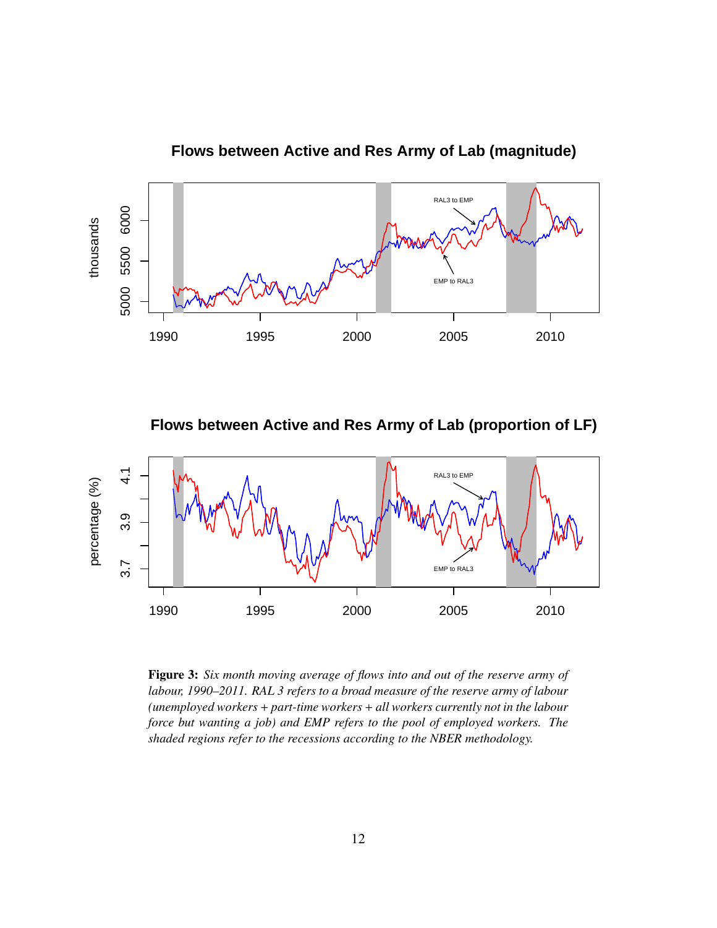

**Flows between Active and Res Army of Lab (magnitude)**

**Flows between Active and Res Army of Lab (proportion of LF)**



Figure 3: *Six month moving average of flows into and out of the reserve army of labour, 1990–2011. RAL 3 refers to a broad measure of the reserve army of labour (unemployed workers* + *part-time workers* + *all workers currently not in the labour force but wanting a job) and EMP refers to the pool of employed workers. The shaded regions refer to the recessions according to the NBER methodology.*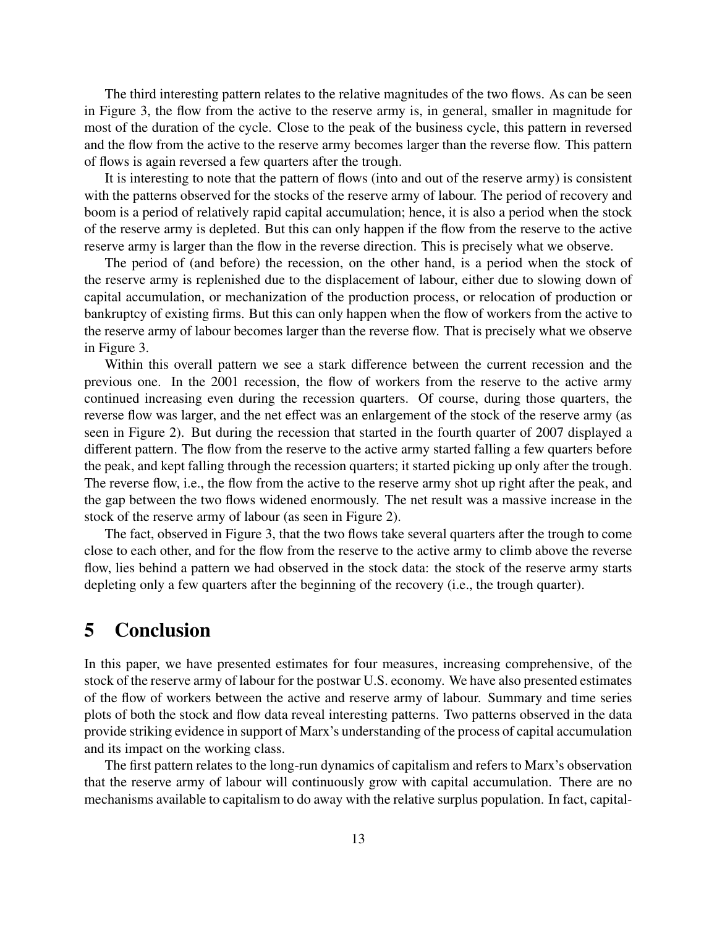The third interesting pattern relates to the relative magnitudes of the two flows. As can be seen in Figure 3, the flow from the active to the reserve army is, in general, smaller in magnitude for most of the duration of the cycle. Close to the peak of the business cycle, this pattern in reversed and the flow from the active to the reserve army becomes larger than the reverse flow. This pattern of flows is again reversed a few quarters after the trough.

It is interesting to note that the pattern of flows (into and out of the reserve army) is consistent with the patterns observed for the stocks of the reserve army of labour. The period of recovery and boom is a period of relatively rapid capital accumulation; hence, it is also a period when the stock of the reserve army is depleted. But this can only happen if the flow from the reserve to the active reserve army is larger than the flow in the reverse direction. This is precisely what we observe.

The period of (and before) the recession, on the other hand, is a period when the stock of the reserve army is replenished due to the displacement of labour, either due to slowing down of capital accumulation, or mechanization of the production process, or relocation of production or bankruptcy of existing firms. But this can only happen when the flow of workers from the active to the reserve army of labour becomes larger than the reverse flow. That is precisely what we observe in Figure 3.

Within this overall pattern we see a stark difference between the current recession and the previous one. In the 2001 recession, the flow of workers from the reserve to the active army continued increasing even during the recession quarters. Of course, during those quarters, the reverse flow was larger, and the net effect was an enlargement of the stock of the reserve army (as seen in Figure 2). But during the recession that started in the fourth quarter of 2007 displayed a different pattern. The flow from the reserve to the active army started falling a few quarters before the peak, and kept falling through the recession quarters; it started picking up only after the trough. The reverse flow, i.e., the flow from the active to the reserve army shot up right after the peak, and the gap between the two flows widened enormously. The net result was a massive increase in the stock of the reserve army of labour (as seen in Figure 2).

The fact, observed in Figure 3, that the two flows take several quarters after the trough to come close to each other, and for the flow from the reserve to the active army to climb above the reverse flow, lies behind a pattern we had observed in the stock data: the stock of the reserve army starts depleting only a few quarters after the beginning of the recovery (i.e., the trough quarter).

## 5 Conclusion

In this paper, we have presented estimates for four measures, increasing comprehensive, of the stock of the reserve army of labour for the postwar U.S. economy. We have also presented estimates of the flow of workers between the active and reserve army of labour. Summary and time series plots of both the stock and flow data reveal interesting patterns. Two patterns observed in the data provide striking evidence in support of Marx's understanding of the process of capital accumulation and its impact on the working class.

The first pattern relates to the long-run dynamics of capitalism and refers to Marx's observation that the reserve army of labour will continuously grow with capital accumulation. There are no mechanisms available to capitalism to do away with the relative surplus population. In fact, capital-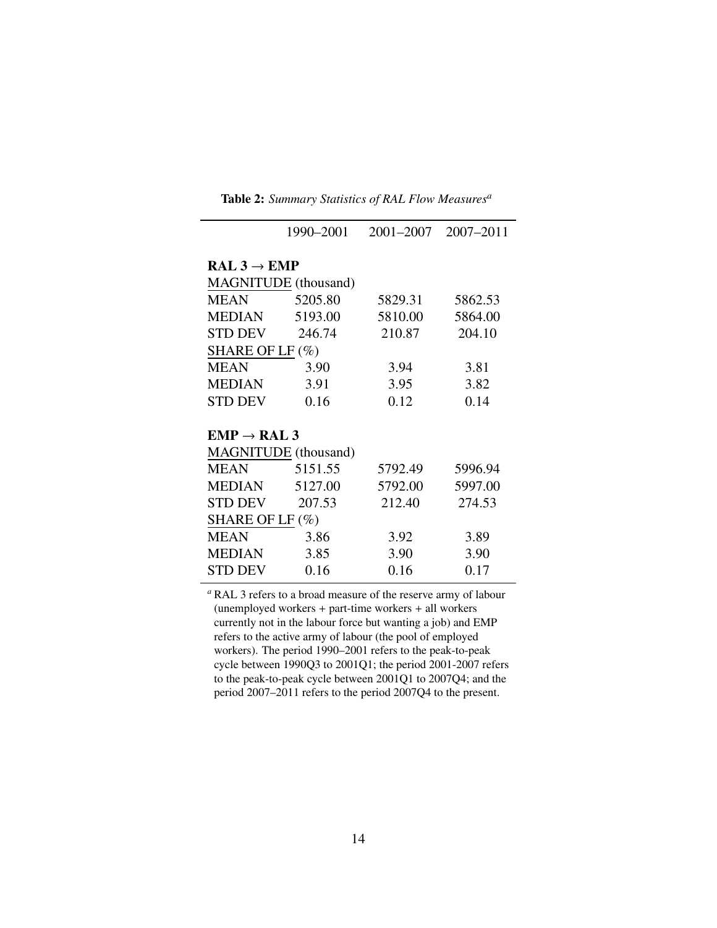|                             | 1990-2001 | 2001-2007 | $2007 - 2011$ |  |  |  |
|-----------------------------|-----------|-----------|---------------|--|--|--|
| $RAL 3 \rightarrow EMP$     |           |           |               |  |  |  |
| <b>MAGNITUDE</b> (thousand) |           |           |               |  |  |  |
| <b>MEAN</b>                 | 5205.80   | 5829.31   | 5862.53       |  |  |  |
| <b>MEDIAN</b>               | 5193.00   | 5810.00   | 5864.00       |  |  |  |
| <b>STD DEV</b>              | 246.74    | 210.87    | 204.10        |  |  |  |
| SHARE OF LF $(\%)$          |           |           |               |  |  |  |
| <b>MEAN</b>                 | 3.90      | 3.94      | 3.81          |  |  |  |
| <b>MEDIAN</b>               | 3.91      | 3.95      | 3.82          |  |  |  |
| <b>STD DEV</b>              | 0.16      | 0.12      | 0.14          |  |  |  |
|                             |           |           |               |  |  |  |
| $EMP \rightarrow RAL$ 3     |           |           |               |  |  |  |
| <b>MAGNITUDE</b> (thousand) |           |           |               |  |  |  |
| <b>MEAN</b>                 | 5151.55   | 5792.49   | 5996.94       |  |  |  |
| MEDIAN                      | 5127.00   | 5792.00   | 5997.00       |  |  |  |
| <b>STD DEV</b>              | 207.53    | 212.40    | 274.53        |  |  |  |
| SHARE OF LF $(\%)$          |           |           |               |  |  |  |
| MEAN                        | 3.86      | 3.92      | 3.89          |  |  |  |
| <b>MEDIAN</b>               | 3.85      | 3.90      | 3.90          |  |  |  |
| STD DEV                     | 0.16      | 0.16      | 0.17          |  |  |  |

Table 2: *Summary Statistics of RAL Flow Measures<sup>a</sup>*

*<sup>a</sup>* RAL 3 refers to a broad measure of the reserve army of labour (unemployed workers + part-time workers + all workers currently not in the labour force but wanting a job) and EMP refers to the active army of labour (the pool of employed workers). The period 1990–2001 refers to the peak-to-peak cycle between 1990Q3 to 2001Q1; the period 2001-2007 refers to the peak-to-peak cycle between 2001Q1 to 2007Q4; and the period 2007–2011 refers to the period 2007Q4 to the present.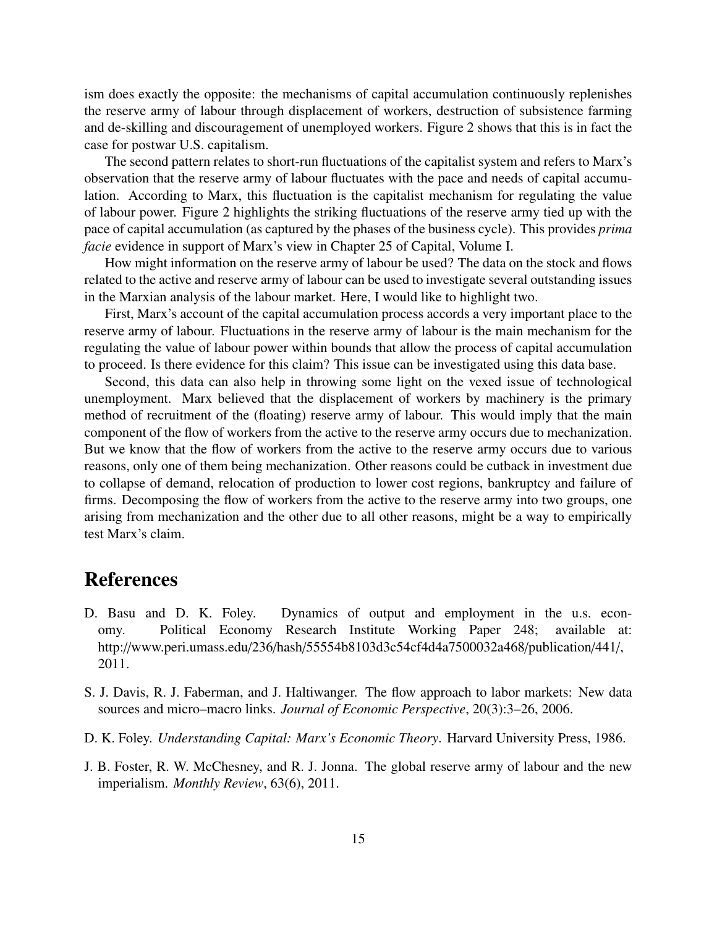ism does exactly the opposite: the mechanisms of capital accumulation continuously replenishes the reserve army of labour through displacement of workers, destruction of subsistence farming and de-skilling and discouragement of unemployed workers. Figure 2 shows that this is in fact the case for postwar U.S. capitalism.

The second pattern relates to short-run fluctuations of the capitalist system and refers to Marx's observation that the reserve army of labour fluctuates with the pace and needs of capital accumulation. According to Marx, this fluctuation is the capitalist mechanism for regulating the value of labour power. Figure 2 highlights the striking fluctuations of the reserve army tied up with the pace of capital accumulation (as captured by the phases of the business cycle). This provides *prima facie* evidence in support of Marx's view in Chapter 25 of Capital, Volume I.

How might information on the reserve army of labour be used? The data on the stock and flows related to the active and reserve army of labour can be used to investigate several outstanding issues in the Marxian analysis of the labour market. Here, I would like to highlight two.

First, Marx's account of the capital accumulation process accords a very important place to the reserve army of labour. Fluctuations in the reserve army of labour is the main mechanism for the regulating the value of labour power within bounds that allow the process of capital accumulation to proceed. Is there evidence for this claim? This issue can be investigated using this data base.

Second, this data can also help in throwing some light on the vexed issue of technological unemployment. Marx believed that the displacement of workers by machinery is the primary method of recruitment of the (floating) reserve army of labour. This would imply that the main component of the flow of workers from the active to the reserve army occurs due to mechanization. But we know that the flow of workers from the active to the reserve army occurs due to various reasons, only one of them being mechanization. Other reasons could be cutback in investment due to collapse of demand, relocation of production to lower cost regions, bankruptcy and failure of firms. Decomposing the flow of workers from the active to the reserve army into two groups, one arising from mechanization and the other due to all other reasons, might be a way to empirically test Marx's claim.

### References

- D. Basu and D. K. Foley. Dynamics of output and employment in the u.s. economy. Political Economy Research Institute Working Paper 248; available at: http://www.peri.umass.edu/236/hash/55554b8103d3c54cf4d4a7500032a468/publication/441/, 2011.
- S. J. Davis, R. J. Faberman, and J. Haltiwanger. The flow approach to labor markets: New data sources and micro–macro links. *Journal of Economic Perspective*, 20(3):3–26, 2006.
- D. K. Foley. *Understanding Capital: Marx's Economic Theory*. Harvard University Press, 1986.
- J. B. Foster, R. W. McChesney, and R. J. Jonna. The global reserve army of labour and the new imperialism. *Monthly Review*, 63(6), 2011.